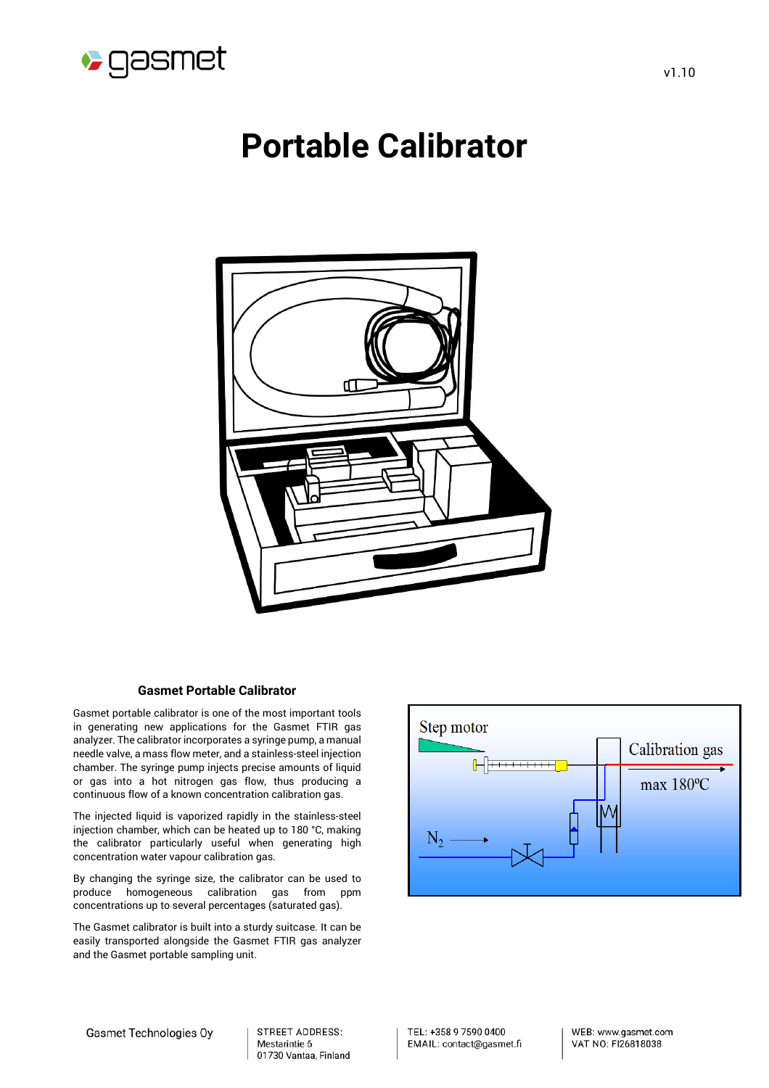

# **Portable Calibrator**



### **Gasmet Portable Calibrator**

Gasmet portable calibrator is one of the most important tools in generating new applications for the Gasmet FTIR gas analyzer. The calibrator incorporates a syringe pump, a manual needle valve, a mass flow meter, and a stainless-steel injection chamber. The syringe pump injects precise amounts of liquid or gas into a hot nitrogen gas flow, thus producing a continuous flow of a known concentration calibration gas.

The injected liquid is vaporized rapidly in the stainless-steel injection chamber, which can be heated up to 180 °C, making the calibrator particularly useful when generating high concentration water vapour calibration gas.

By changing the syringe size, the calibrator can be used to produce homogeneous calibration gas from ppm concentrations up to several percentages (saturated gas).

The Gasmet calibrator is built into a sturdy suitcase. It can be easily transported alongside the Gasmet FTIR gas analyzer and the Gasmet portable sampling unit.



STREET ADDRESS: Mestarintie 6 01730 Vantaa, Finland TEL: +358 9 7590 0400 EMAIL: contact@gasmet.fi WEB: www.gasmet.com VAT NO: FI26818038